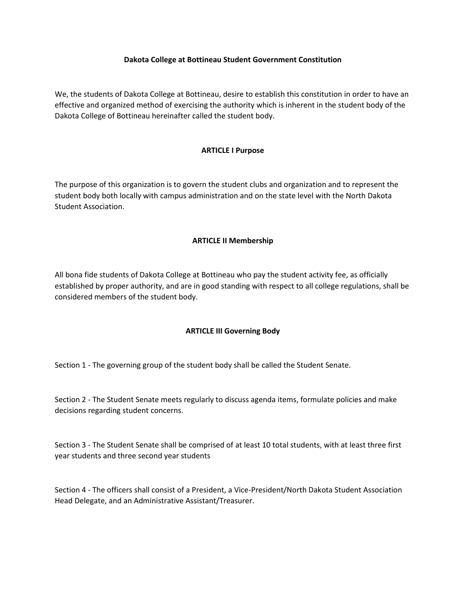#### **Dakota College at Bottineau Student Government Constitution**

We, the students of Dakota College at Bottineau, desire to establish this constitution in order to have an effective and organized method of exercising the authority which is inherent in the student body of the Dakota College of Bottineau hereinafter called the student body.

## **ARTICLE I Purpose**

The purpose of this organization is to govern the student clubs and organization and to represent the student body both locally with campus administration and on the state level with the North Dakota Student Association.

# **ARTICLE II Membership**

All bona fide students of Dakota College at Bottineau who pay the student activity fee, as officially established by proper authority, and are in good standing with respect to all college regulations, shall be considered members of the student body.

### **ARTICLE III Governing Body**

Section 1 - The governing group of the student body shall be called the Student Senate.

Section 2 - The Student Senate meets regularly to discuss agenda items, formulate policies and make decisions regarding student concerns.

Section 3 - The Student Senate shall be comprised of at least 10 total students, with at least three first year students and three second year students

Section 4 - The officers shall consist of a President, a Vice-President/North Dakota Student Association Head Delegate, and an Administrative Assistant/Treasurer.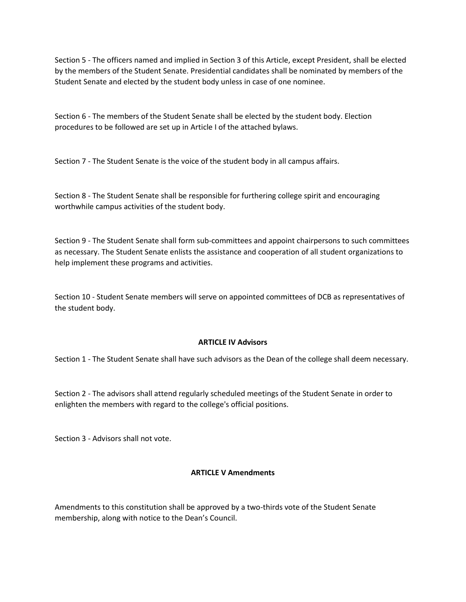Section 5 - The officers named and implied in Section 3 of this Article, except President, shall be elected by the members of the Student Senate. Presidential candidates shall be nominated by members of the Student Senate and elected by the student body unless in case of one nominee.

Section 6 - The members of the Student Senate shall be elected by the student body. Election procedures to be followed are set up in Article I of the attached bylaws.

Section 7 - The Student Senate is the voice of the student body in all campus affairs.

Section 8 - The Student Senate shall be responsible for furthering college spirit and encouraging worthwhile campus activities of the student body.

Section 9 - The Student Senate shall form sub-committees and appoint chairpersons to such committees as necessary. The Student Senate enlists the assistance and cooperation of all student organizations to help implement these programs and activities.

Section 10 - Student Senate members will serve on appointed committees of DCB as representatives of the student body.

### **ARTICLE IV Advisors**

Section 1 - The Student Senate shall have such advisors as the Dean of the college shall deem necessary.

Section 2 - The advisors shall attend regularly scheduled meetings of the Student Senate in order to enlighten the members with regard to the college's official positions.

Section 3 - Advisors shall not vote.

### **ARTICLE V Amendments**

Amendments to this constitution shall be approved by a two-thirds vote of the Student Senate membership, along with notice to the Dean's Council.